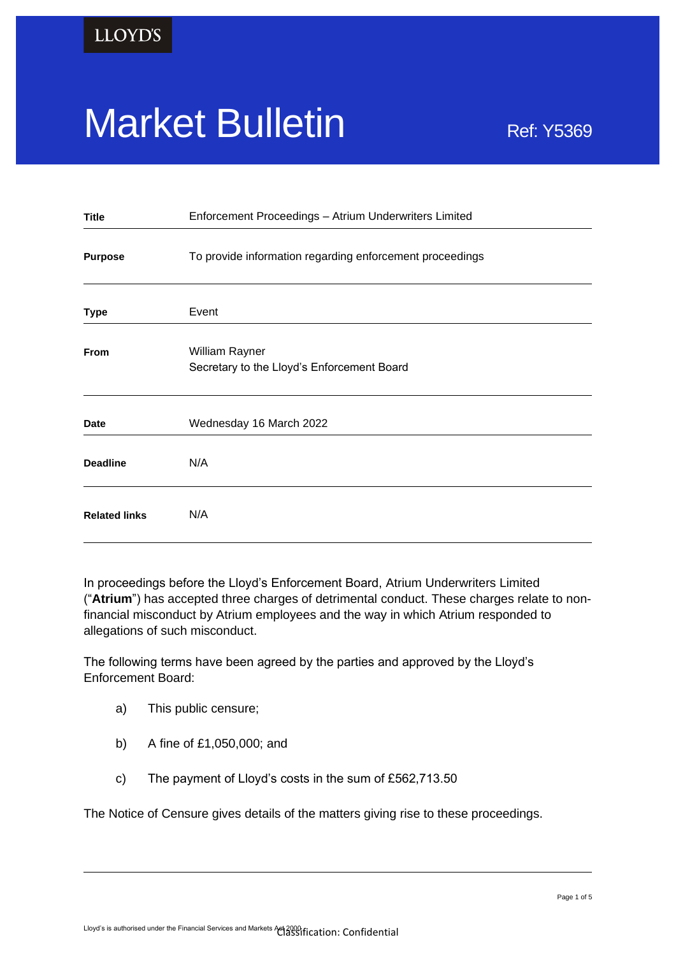# Market Bulletin Ref: Y5369

| <b>Title</b>         | Enforcement Proceedings - Atrium Underwriters Limited        |
|----------------------|--------------------------------------------------------------|
| <b>Purpose</b>       | To provide information regarding enforcement proceedings     |
| <b>Type</b>          | Event                                                        |
| <b>From</b>          | William Rayner<br>Secretary to the Lloyd's Enforcement Board |
| <b>Date</b>          | Wednesday 16 March 2022                                      |
| <b>Deadline</b>      | N/A                                                          |
| <b>Related links</b> | N/A                                                          |

In proceedings before the Lloyd's Enforcement Board, Atrium Underwriters Limited ("**Atrium**") has accepted three charges of detrimental conduct. These charges relate to nonfinancial misconduct by Atrium employees and the way in which Atrium responded to allegations of such misconduct.

The following terms have been agreed by the parties and approved by the Lloyd's Enforcement Board:

- a) This public censure;
- b) A fine of £1,050,000; and
- c) The payment of Lloyd's costs in the sum of £562,713.50

The Notice of Censure gives details of the matters giving rise to these proceedings.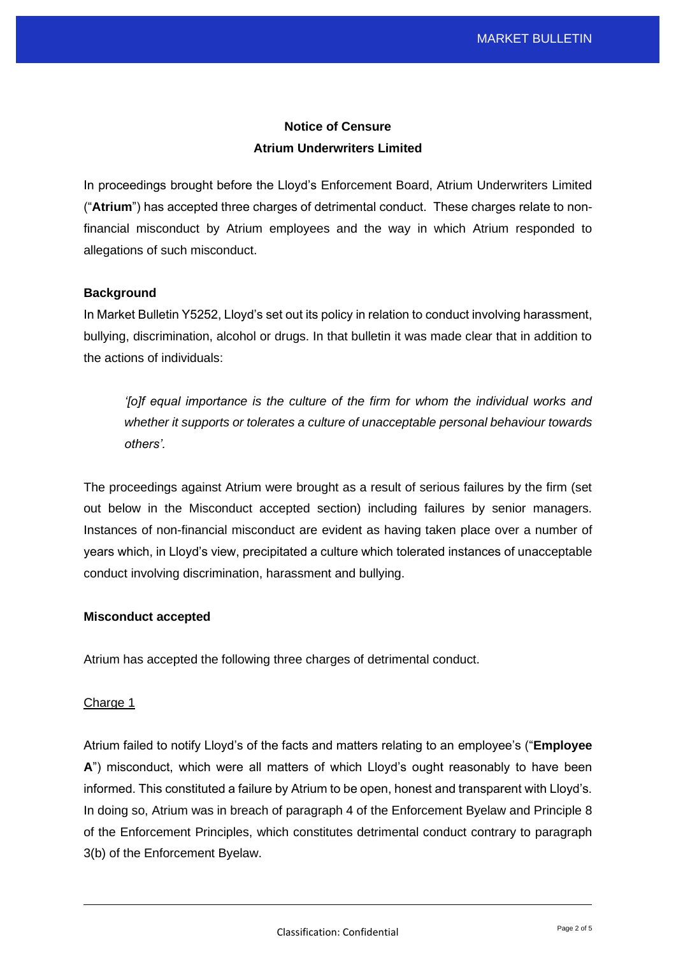# **Notice of Censure Atrium Underwriters Limited**

In proceedings brought before the Lloyd's Enforcement Board, Atrium Underwriters Limited ("**Atrium**") has accepted three charges of detrimental conduct. These charges relate to nonfinancial misconduct by Atrium employees and the way in which Atrium responded to allegations of such misconduct.

# **Background**

In Market Bulletin Y5252, Lloyd's set out its policy in relation to conduct involving harassment, bullying, discrimination, alcohol or drugs. In that bulletin it was made clear that in addition to the actions of individuals:

*'folf equal importance is the culture of the firm for whom the individual works and whether it supports or tolerates a culture of unacceptable personal behaviour towards others'.*

The proceedings against Atrium were brought as a result of serious failures by the firm (set out below in the Misconduct accepted section) including failures by senior managers. Instances of non-financial misconduct are evident as having taken place over a number of years which, in Lloyd's view, precipitated a culture which tolerated instances of unacceptable conduct involving discrimination, harassment and bullying.

### **Misconduct accepted**

Atrium has accepted the following three charges of detrimental conduct.

# Charge 1

Atrium failed to notify Lloyd's of the facts and matters relating to an employee's ("**Employee A**") misconduct, which were all matters of which Lloyd's ought reasonably to have been informed. This constituted a failure by Atrium to be open, honest and transparent with Lloyd's. In doing so, Atrium was in breach of paragraph 4 of the Enforcement Byelaw and Principle 8 of the Enforcement Principles, which constitutes detrimental conduct contrary to paragraph 3(b) of the Enforcement Byelaw.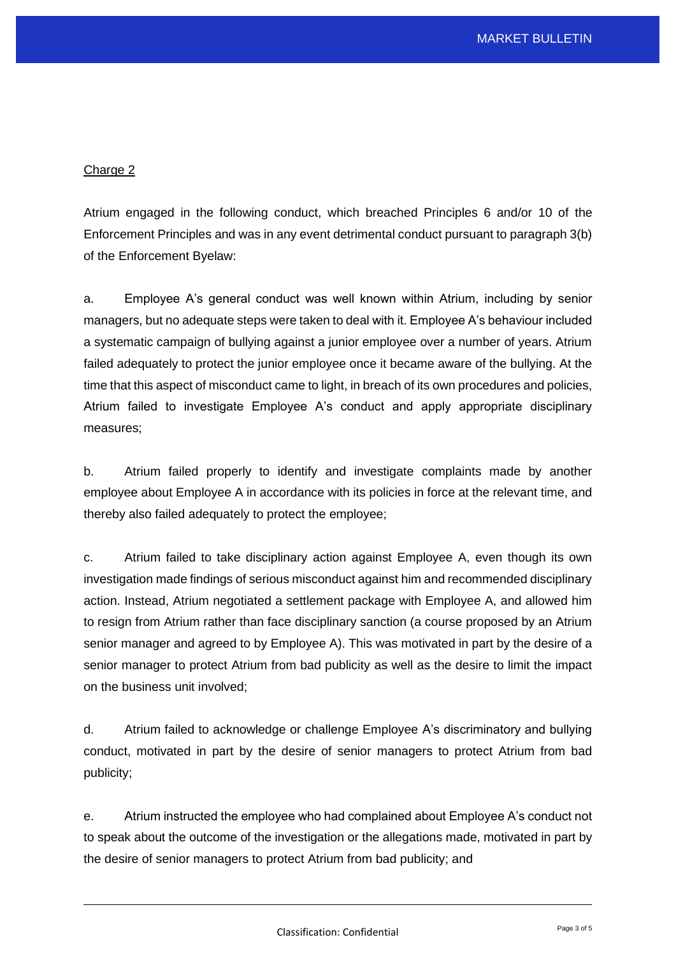# Charge 2

Atrium engaged in the following conduct, which breached Principles 6 and/or 10 of the Enforcement Principles and was in any event detrimental conduct pursuant to paragraph 3(b) of the Enforcement Byelaw:

a. Employee A's general conduct was well known within Atrium, including by senior managers, but no adequate steps were taken to deal with it. Employee A's behaviour included a systematic campaign of bullying against a junior employee over a number of years. Atrium failed adequately to protect the junior employee once it became aware of the bullying. At the time that this aspect of misconduct came to light, in breach of its own procedures and policies, Atrium failed to investigate Employee A's conduct and apply appropriate disciplinary measures;

b. Atrium failed properly to identify and investigate complaints made by another employee about Employee A in accordance with its policies in force at the relevant time, and thereby also failed adequately to protect the employee;

c. Atrium failed to take disciplinary action against Employee A, even though its own investigation made findings of serious misconduct against him and recommended disciplinary action. Instead, Atrium negotiated a settlement package with Employee A, and allowed him to resign from Atrium rather than face disciplinary sanction (a course proposed by an Atrium senior manager and agreed to by Employee A). This was motivated in part by the desire of a senior manager to protect Atrium from bad publicity as well as the desire to limit the impact on the business unit involved;

d. Atrium failed to acknowledge or challenge Employee A's discriminatory and bullying conduct, motivated in part by the desire of senior managers to protect Atrium from bad publicity;

e. Atrium instructed the employee who had complained about Employee A's conduct not to speak about the outcome of the investigation or the allegations made, motivated in part by the desire of senior managers to protect Atrium from bad publicity; and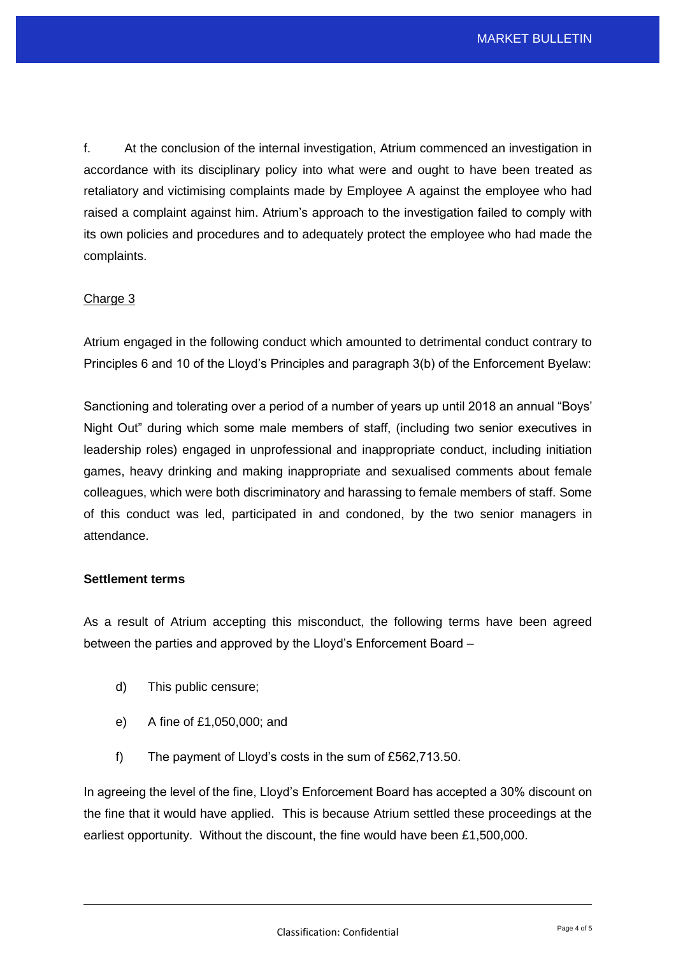f. At the conclusion of the internal investigation, Atrium commenced an investigation in accordance with its disciplinary policy into what were and ought to have been treated as retaliatory and victimising complaints made by Employee A against the employee who had raised a complaint against him. Atrium's approach to the investigation failed to comply with its own policies and procedures and to adequately protect the employee who had made the complaints.

# Charge 3

Atrium engaged in the following conduct which amounted to detrimental conduct contrary to Principles 6 and 10 of the Lloyd's Principles and paragraph 3(b) of the Enforcement Byelaw:

Sanctioning and tolerating over a period of a number of years up until 2018 an annual "Boys' Night Out" during which some male members of staff, (including two senior executives in leadership roles) engaged in unprofessional and inappropriate conduct, including initiation games, heavy drinking and making inappropriate and sexualised comments about female colleagues, which were both discriminatory and harassing to female members of staff. Some of this conduct was led, participated in and condoned, by the two senior managers in attendance.

### **Settlement terms**

As a result of Atrium accepting this misconduct, the following terms have been agreed between the parties and approved by the Lloyd's Enforcement Board –

- d) This public censure;
- e) A fine of £1,050,000; and
- f) The payment of Lloyd's costs in the sum of £562,713.50.

In agreeing the level of the fine, Lloyd's Enforcement Board has accepted a 30% discount on the fine that it would have applied. This is because Atrium settled these proceedings at the earliest opportunity. Without the discount, the fine would have been £1,500,000.